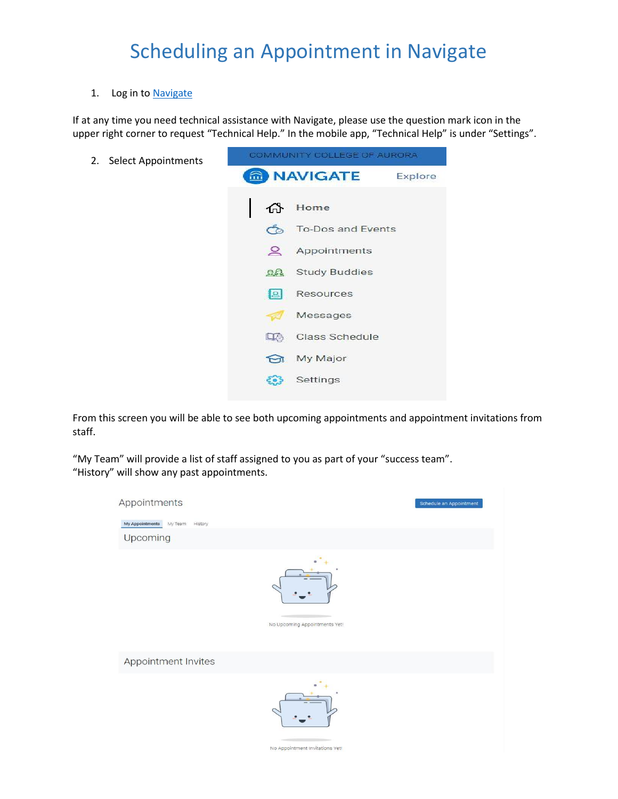#### 1. Log in to [Navigate](https://ccaurora.navigate.eab.com/app/#/authentication/remote/)

If at any time you need technical assistance with Navigate, please use the question mark icon in the upper right corner to request "Technical Help." In the mobile app, "Technical Help" is under "Settings".

2. Select Appointments



From this screen you will be able to see both upcoming appointments and appointment invitations from staff.

"My Team" will provide a list of staff assigned to you as part of your "success team". "History" will show any past appointments.

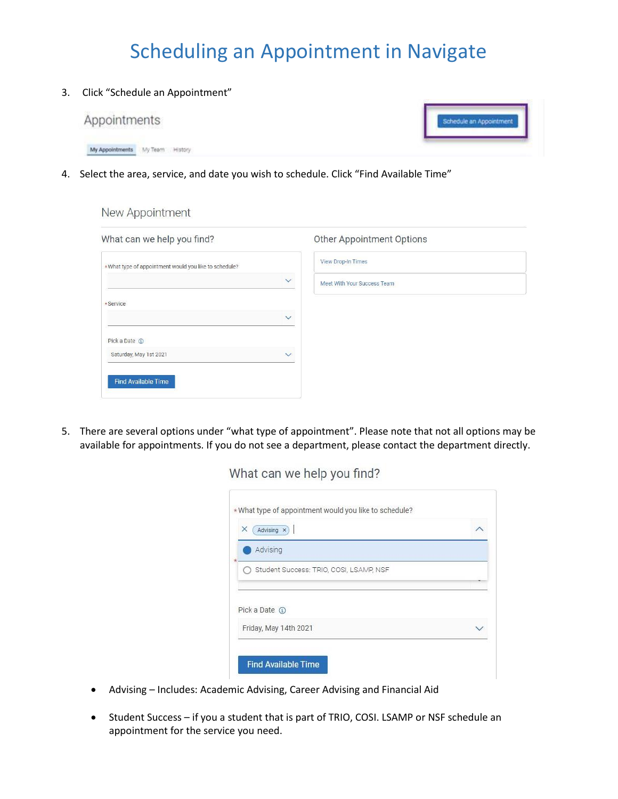3. Click "Schedule an Appointment"



4. Select the area, service, and date you wish to schedule. Click "Find Available Time"

New Appointment

| What can we help you find?                            | Other Appointment Options                   |
|-------------------------------------------------------|---------------------------------------------|
| *What type of appointment would you like to schedule? | View Drop-In Times                          |
|                                                       | $\checkmark$<br>Meet With Your Success Team |
| *Service                                              |                                             |
|                                                       | $\checkmark$                                |
| Pick a Date 1                                         |                                             |
| Saturday, May 1st 2021                                | $\checkmark$                                |
| <b>Find Available Time</b>                            |                                             |

5. There are several options under "what type of appointment". Please note that not all options may be available for appointments. If you do not see a department, please contact the department directly.

What can we help you find?

| Advising x<br>×                         |  |
|-----------------------------------------|--|
| Advising                                |  |
| Student Success: TRIO, COSI, LSAMP, NSF |  |
|                                         |  |
| Pick a Date (                           |  |
| Friday, May 14th 2021                   |  |

- Advising Includes: Academic Advising, Career Advising and Financial Aid
- Student Success if you a student that is part of TRIO, COSI. LSAMP or NSF schedule an appointment for the service you need.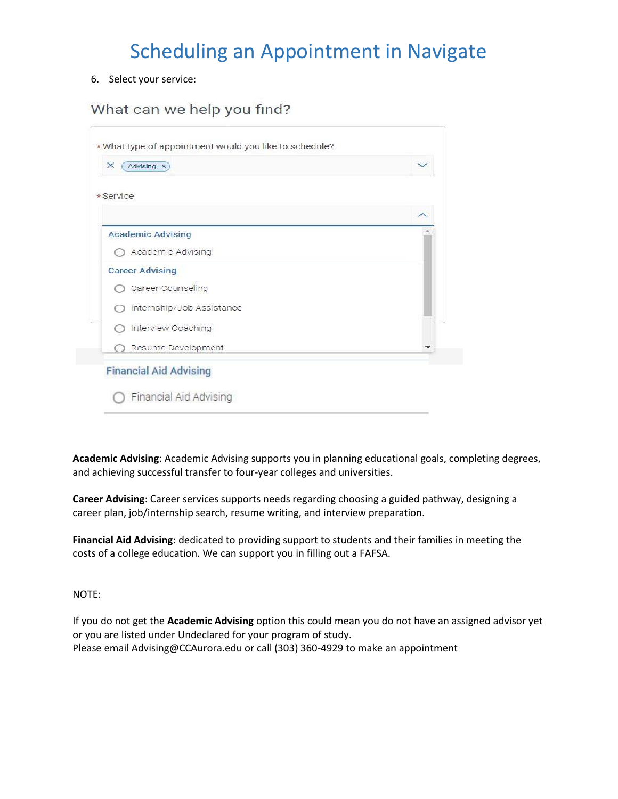6. Select your service:

#### What can we help you find?

| $\times$<br>Advising X        |  |
|-------------------------------|--|
| $\star$ Service               |  |
|                               |  |
| <b>Academic Advising</b>      |  |
| Academic Advising             |  |
| <b>Career Advising</b>        |  |
| Career Counseling             |  |
| Internship/Job Assistance     |  |
| Interview Coaching            |  |
| Resume Development            |  |
| <b>Financial Aid Advising</b> |  |

**Academic Advising**: Academic Advising supports you in planning educational goals, completing degrees, and achieving successful transfer to four-year colleges and universities.

**Career Advising**: Career services supports needs regarding choosing a guided pathway, designing a career plan, job/internship search, resume writing, and interview preparation.

**Financial Aid Advising**: dedicated to providing support to students and their families in meeting the costs of a college education. We can support you in filling out a FAFSA.

NOTE:

If you do not get the **Academic Advising** option this could mean you do not have an assigned advisor yet or you are listed under Undeclared for your program of study. Please email Advising@CCAurora.edu or call (303) 360-4929 to make an appointment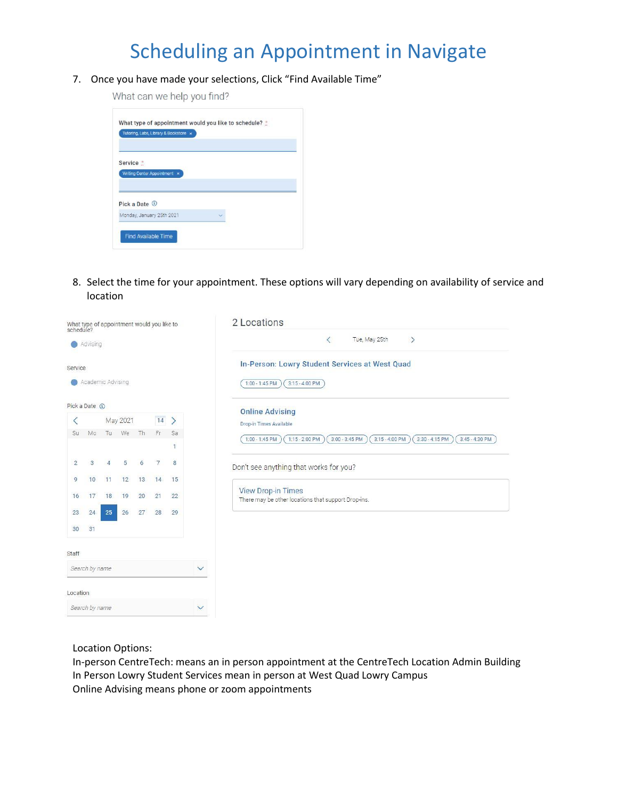7. Once you have made your selections, Click "Find Available Time"

What can we help you find?

| Tutoring, Labs, Library & Bookstore x |  |
|---------------------------------------|--|
| Service *                             |  |
| Writing Center Appointment x          |  |
|                                       |  |
|                                       |  |
| Pick a Date <sup>1</sup>              |  |

8. Select the time for your appointment. These options will vary depending on availability of service and location

|                |                   |                |          |    | What type of appointment would you like to<br>schedule? |         |              | 2 Locations                                                                                                        |
|----------------|-------------------|----------------|----------|----|---------------------------------------------------------|---------|--------------|--------------------------------------------------------------------------------------------------------------------|
|                | Advising          |                |          |    |                                                         |         |              | $\langle$<br>$\rightarrow$<br>Tue, May 25th                                                                        |
| Service        | Academic Advising |                |          |    |                                                         |         |              | In-Person: Lowry Student Services at West Quad<br>$1:00 - 1:45$ PM<br>$3:15 - 4:00$ PM                             |
| Pick a Date ①  |                   |                |          |    |                                                         |         |              | <b>Online Advising</b>                                                                                             |
| ⟨              |                   |                | May 2021 |    | $14$ >                                                  |         |              | Drop-in Times Available                                                                                            |
| <b>Su</b>      | Mo                | Tu             | We       | Th | Fr                                                      | Sa<br>1 |              | $3:15 - 4:00$ PM<br>$3:30 - 4:15$ PM<br>$1:00 - 1:45$ PM<br>$1:15 - 2:00$ PM<br>$3:00 - 3:45$ PM<br>3:45 - 4:30 PM |
| $\overline{2}$ | $\mathbf{3}$      | $\overline{4}$ | 5        | 6  | 7                                                       | 8       |              | Don't see anything that works for you?                                                                             |
| 9              | 10                | 11             | 12       | 13 | 14                                                      | 15      |              |                                                                                                                    |
| 16             | 17                | 18             | 19       | 20 | 21                                                      | 22      |              | <b>View Drop-in Times</b><br>There may be other locations that support Drop-ins.                                   |
| 23             | 24                | 25             | 26       | 27 | 28                                                      | 29      |              |                                                                                                                    |
| 30             | 31                |                |          |    |                                                         |         |              |                                                                                                                    |
| Staff          |                   |                |          |    |                                                         |         |              |                                                                                                                    |
|                | Search by name    |                |          |    |                                                         |         | $\checkmark$ |                                                                                                                    |
| Location       |                   |                |          |    |                                                         |         |              |                                                                                                                    |
|                | Search by name    |                |          |    |                                                         |         | $\checkmark$ |                                                                                                                    |
|                |                   |                |          |    |                                                         |         |              |                                                                                                                    |

Location Options:

In-person CentreTech: means an in person appointment at the CentreTech Location Admin Building In Person Lowry Student Services mean in person at West Quad Lowry Campus Online Advising means phone or zoom appointments